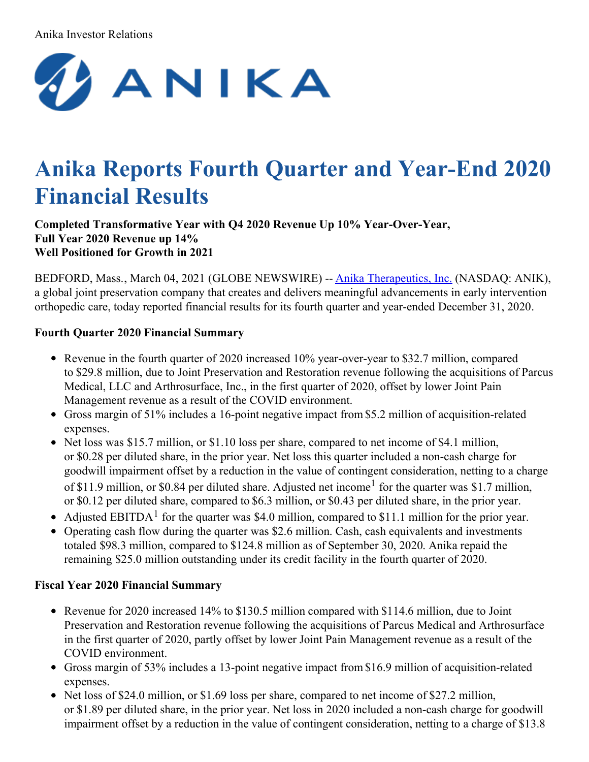#### Anika Investor Relations



# **Anika Reports Fourth Quarter and Year-End 2020 Financial Results**

**Completed Transformative Year with Q4 2020 Revenue Up 10% Year-Over-Year, Full Year 2020 Revenue up 14% Well Positioned for Growth in 2021**

BEDFORD, Mass., March 04, 2021 (GLOBE NEWSWIRE) -- Anika [Therapeutics,](https://www.globenewswire.com/Tracker?data=aZSkIcSz27VUkn7mSS6HMKpckUUS9b6sYX_1DTI0RxiguRsmuS6O38CIR4eSYhzJqRBkoB5tqPhDssYWZ0OMp-mz1XS1GppCyddvIK76Llc=) Inc. (NASDAQ: ANIK), a global joint preservation company that creates and delivers meaningful advancements in early intervention orthopedic care, today reported financial results for its fourth quarter and year-ended December 31, 2020.

#### **Fourth Quarter 2020 Financial Summary**

- Revenue in the fourth quarter of 2020 increased 10% year-over-year to \$32.7 million, compared to \$29.8 million, due to Joint Preservation and Restoration revenue following the acquisitions of Parcus Medical, LLC and Arthrosurface, Inc., in the first quarter of 2020, offset by lower Joint Pain Management revenue as a result of the COVID environment.
- Gross margin of 51% includes a 16-point negative impact from \$5.2 million of acquisition-related expenses.
- $\bullet$  Net loss was \$15.7 million, or \$1.10 loss per share, compared to net income of \$4.1 million, or \$0.28 per diluted share, in the prior year. Net loss this quarter included a non-cash charge for goodwill impairment offset by a reduction in the value of contingent consideration, netting to a charge of \$11.9 million, or \$0.84 per diluted share. Adjusted net income<sup>1</sup> for the quarter was \$1.7 million, or \$0.12 per diluted share, compared to \$6.3 million, or \$0.43 per diluted share, in the prior year.
- Adjusted EBITDA<sup>1</sup> for the quarter was \$4.0 million, compared to \$11.1 million for the prior year.
- Operating cash flow during the quarter was \$2.6 million. Cash, cash equivalents and investments totaled \$98.3 million, compared to \$124.8 million as of September 30, 2020. Anika repaid the remaining \$25.0 million outstanding under its credit facility in the fourth quarter of 2020.

#### **Fiscal Year 2020 Financial Summary**

- Revenue for 2020 increased 14% to \$130.5 million compared with \$114.6 million, due to Joint Preservation and Restoration revenue following the acquisitions of Parcus Medical and Arthrosurface in the first quarter of 2020, partly offset by lower Joint Pain Management revenue as a result of the COVID environment.
- Gross margin of 53% includes a 13-point negative impact from \$16.9 million of acquisition-related expenses.
- $\bullet$  Net loss of \$24.0 million, or \$1.69 loss per share, compared to net income of \$27.2 million, or \$1.89 per diluted share, in the prior year. Net loss in 2020 included a non-cash charge for goodwill impairment offset by a reduction in the value of contingent consideration, netting to a charge of \$13.8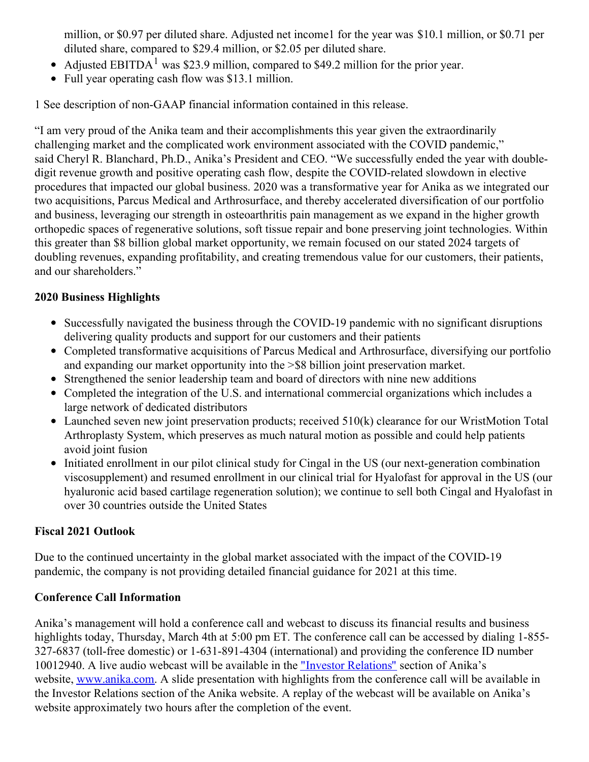million, or \$0.97 per diluted share. Adjusted net income1 for the year was \$10.1 million, or \$0.71 per diluted share, compared to \$29.4 million, or \$2.05 per diluted share.

- Adjusted EBITDA<sup>1</sup> was \$23.9 million, compared to \$49.2 million for the prior year.
- Full year operating cash flow was \$13.1 million.

1 See description of non-GAAP financial information contained in this release.

"I am very proud of the Anika team and their accomplishments this year given the extraordinarily challenging market and the complicated work environment associated with the COVID pandemic," said Cheryl R. Blanchard, Ph.D., Anika's President and CEO. "We successfully ended the year with doubledigit revenue growth and positive operating cash flow, despite the COVID-related slowdown in elective procedures that impacted our global business. 2020 was a transformative year for Anika as we integrated our two acquisitions, Parcus Medical and Arthrosurface, and thereby accelerated diversification of our portfolio and business, leveraging our strength in osteoarthritis pain management as we expand in the higher growth orthopedic spaces of regenerative solutions, soft tissue repair and bone preserving joint technologies. Within this greater than \$8 billion global market opportunity, we remain focused on our stated 2024 targets of doubling revenues, expanding profitability, and creating tremendous value for our customers, their patients, and our shareholders."

# **2020 Business Highlights**

- Successfully navigated the business through the COVID-19 pandemic with no significant disruptions delivering quality products and support for our customers and their patients
- Completed transformative acquisitions of Parcus Medical and Arthrosurface, diversifying our portfolio and expanding our market opportunity into the >\$8 billion joint preservation market.
- Strengthened the senior leadership team and board of directors with nine new additions
- Completed the integration of the U.S. and international commercial organizations which includes a large network of dedicated distributors
- Launched seven new joint preservation products; received 510(k) clearance for our WristMotion Total Arthroplasty System, which preserves as much natural motion as possible and could help patients avoid joint fusion
- Initiated enrollment in our pilot clinical study for Cingal in the US (our next-generation combination viscosupplement) and resumed enrollment in our clinical trial for Hyalofast for approval in the US (our hyaluronic acid based cartilage regeneration solution); we continue to sell both Cingal and Hyalofast in over 30 countries outside the United States

### **Fiscal 2021 Outlook**

Due to the continued uncertainty in the global market associated with the impact of the COVID-19 pandemic, the company is not providing detailed financial guidance for 2021 at this time.

### **Conference Call Information**

Anika's management will hold a conference call and webcast to discuss its financial results and business highlights today, Thursday, March 4th at 5:00 pm ET. The conference call can be accessed by dialing 1-855-327-6837 (toll-free domestic) or 1-631-891-4304 (international) and providing the conference ID number 10012940. A live audio webcast will be available in the ["](https://www.globenewswire.com/Tracker?data=KvpRDRMIoveieB9pCDj4atXbcGJNPVCuzNVfUo4dPB1hD7I-ipqjg5b7K8oiZw8BwgiS7k8-OcLUouAkN7ycj1Sl9F9vozKSVcPrBnAvkCA=)Investor [Relations](https://www.globenewswire.com/Tracker?data=DT46h0m6_FfCL4wk4MN15RCYyHw4iwAMaMnrA0du3c0RCRiuSpsKgk03Z4KSNLCX4yU5uWhRRQFVjH5Ixcv_7GF1p5DZuhQnXTy6KAntS5NHu1EWzqVErW-V35ECXTgI)["](https://www.globenewswire.com/Tracker?data=MJPY5Ai7mJCpULjmDS_GR7BaqNcJMZBxFqms0I3J1mWflfVRUAOyi6z_EvuDcoc28OjPYNsMcHw0ctOEso2YY4ffomJgW9e6Ngzpr-Agzzg=) section of Anika's website, [www.anika.com](https://www.globenewswire.com/Tracker?data=lLvbsNIe-dN7tAbbDgGL3OAlNaIYoI0FNO_wgt8oUElx02J9M3mD_IGZv8mRG2byXFNliGNa7cVekxKncILK3A==). A slide presentation with highlights from the conference call will be available in the Investor Relations section of the Anika website. A replay of the webcast will be available on Anika's website approximately two hours after the completion of the event.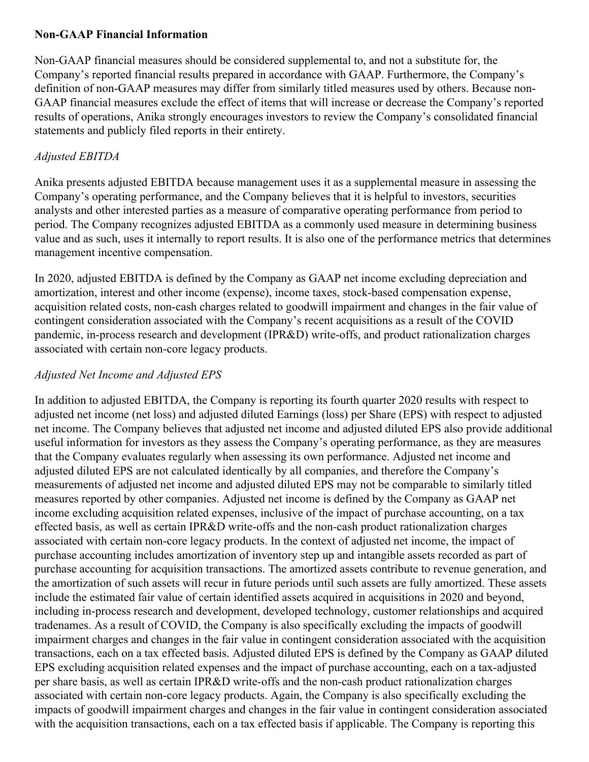#### **Non-GAAP Financial Information**

Non-GAAP financial measures should be considered supplemental to, and not a substitute for, the Company's reported financial results prepared in accordance with GAAP. Furthermore, the Company's definition of non-GAAP measures may differ from similarly titled measures used by others. Because non-GAAP financial measures exclude the effect of items that will increase or decrease the Company's reported results of operations, Anika strongly encourages investors to review the Company's consolidated financial statements and publicly filed reports in their entirety.

### *Adjusted EBITDA*

Anika presents adjusted EBITDA because management uses it as a supplemental measure in assessing the Company's operating performance, and the Company believes that it is helpful to investors, securities analysts and other interested parties as a measure of comparative operating performance from period to period. The Company recognizes adjusted EBITDA as a commonly used measure in determining business value and as such, uses it internally to report results. It is also one of the performance metrics that determines management incentive compensation.

In 2020, adjusted EBITDA is defined by the Company as GAAP net income excluding depreciation and amortization, interest and other income (expense), income taxes, stock-based compensation expense, acquisition related costs, non-cash charges related to goodwill impairment and changes in the fair value of contingent consideration associated with the Company's recent acquisitions as a result of the COVID pandemic, in-process research and development (IPR&D) write-offs, and product rationalization charges associated with certain non-core legacy products.

### *Adjusted Net Income and Adjusted EPS*

In addition to adjusted EBITDA, the Company is reporting its fourth quarter 2020 results with respect to adjusted net income (net loss) and adjusted diluted Earnings (loss) per Share (EPS) with respect to adjusted net income. The Company believes that adjusted net income and adjusted diluted EPS also provide additional useful information for investors as they assess the Company's operating performance, as they are measures that the Company evaluates regularly when assessing its own performance. Adjusted net income and adjusted diluted EPS are not calculated identically by all companies, and therefore the Company's measurements of adjusted net income and adjusted diluted EPS may not be comparable to similarly titled measures reported by other companies. Adjusted net income is defined by the Company as GAAP net income excluding acquisition related expenses, inclusive of the impact of purchase accounting, on a tax effected basis, as well as certain IPR&D write-offs and the non-cash product rationalization charges associated with certain non-core legacy products. In the context of adjusted net income, the impact of purchase accounting includes amortization of inventory step up and intangible assets recorded as part of purchase accounting for acquisition transactions. The amortized assets contribute to revenue generation, and the amortization of such assets will recur in future periods until such assets are fully amortized. These assets include the estimated fair value of certain identified assets acquired in acquisitions in 2020 and beyond, including in-process research and development, developed technology, customer relationships and acquired tradenames. As a result of COVID, the Company is also specifically excluding the impacts of goodwill impairment charges and changes in the fair value in contingent consideration associated with the acquisition transactions, each on a tax effected basis. Adjusted diluted EPS is defined by the Company as GAAP diluted EPS excluding acquisition related expenses and the impact of purchase accounting, each on a tax-adjusted per share basis, as well as certain IPR&D write-offs and the non-cash product rationalization charges associated with certain non-core legacy products. Again, the Company is also specifically excluding the impacts of goodwill impairment charges and changes in the fair value in contingent consideration associated with the acquisition transactions, each on a tax effected basis if applicable. The Company is reporting this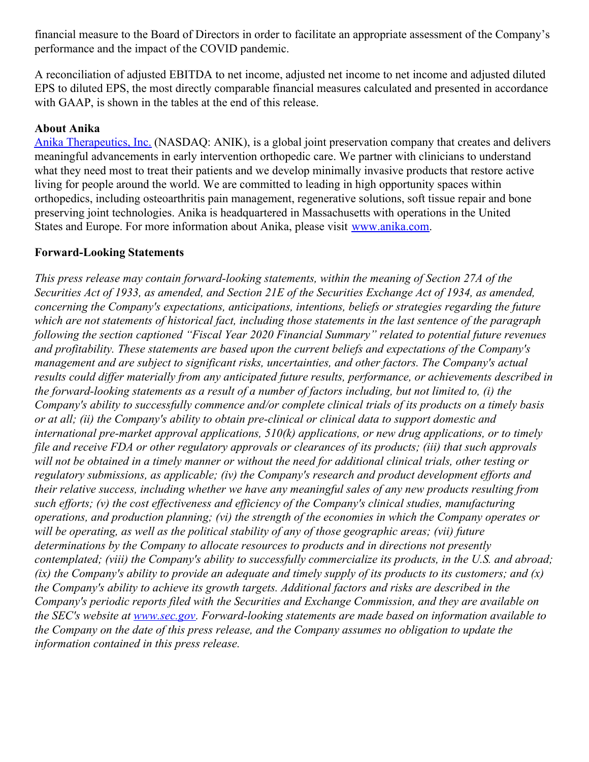financial measure to the Board of Directors in order to facilitate an appropriate assessment of the Company's performance and the impact of the COVID pandemic.

A reconciliation of adjusted EBITDA to net income, adjusted net income to net income and adjusted diluted EPS to diluted EPS, the most directly comparable financial measures calculated and presented in accordance with GAAP, is shown in the tables at the end of this release.

#### **About Anika**

Anika [Therapeutics,](https://www.globenewswire.com/Tracker?data=aZSkIcSz27VUkn7mSS6HMKpckUUS9b6sYX_1DTI0RxjME6iSf6qajE9d90oEs0cTemMOp5_aridAShwpYnHEndadHxS5eUUFY7dG_7zxhnBnUVpqOEyBRw_RPY3HA3eN) Inc. (NASDAQ: ANIK), is a global joint preservation company that creates and delivers meaningful advancements in early intervention orthopedic care. We partner with clinicians to understand what they need most to treat their patients and we develop minimally invasive products that restore active living for people around the world. We are committed to leading in high opportunity spaces within orthopedics, including osteoarthritis pain management, regenerative solutions, soft tissue repair and bone preserving joint technologies. Anika is headquartered in Massachusetts with operations in the United States and Europe. For more information about Anika, please visit [www.anika.com](https://www.globenewswire.com/Tracker?data=lLvbsNIe-dN7tAbbDgGL3K7xbZpRmWHEwyKRR7k57cajlPWc552zlFZVCcIvyrwgRfA9r56M2OBe0SDC8cIliQ==).

#### **Forward-Looking Statements**

*This press release may contain forward-looking statements, within the meaning of Section 27A of the* Securities Act of 1933, as amended, and Section 21E of the Securities Exchange Act of 1934, as amended, *concerning the Company's expectations, anticipations, intentions, beliefs or strategies regarding the future* which are not statements of historical fact, including those statements in the last sentence of the paragraph *following the section captioned "Fiscal Year 2020 Financial Summary" related to potential future revenues and profitability. These statements are based upon the current beliefs and expectations of the Company's management and are subject to significant risks, uncertainties, and other factors. The Company's actual results could dif er materially from any anticipated future results, performance, or achievements described in* the forward-looking statements as a result of a number of factors including, but not limited to, (i) the *Company's ability to successfully commence and/or complete clinical trials of its products on a timely basis or at all; (ii) the Company's ability to obtain pre-clinical or clinical data to support domestic and international pre-market approval applications, 510(k) applications, or new drug applications, or to timely* file and receive FDA or other regulatory approvals or clearances of its products; (iii) that such approvals will not be obtained in a timely manner or without the need for additional clinical trials, other testing or *regulatory submissions, as applicable; (iv) the Company's research and product development ef orts and their relative success, including whether we have any meaningful sales of any new products resulting from such ef orts; (v) the cost ef ectiveness and ef iciency of the Company's clinical studies, manufacturing operations, and production planning; (vi) the strength of the economies in which the Company operates or will be operating, as well as the political stability of any of those geographic areas; (vii) future determinations by the Company to allocate resources to products and in directions not presently contemplated; (viii) the Company's ability to successfully commercialize its products, in the U.S. and abroad;* (ix) the Company's ability to provide an adequate and timely supply of its products to its customers; and  $(x)$ *the Company's ability to achieve its growth targets. Additional factors and risks are described in the Company's periodic reports filed with the Securities and Exchange Commission, and they are available on the SEC's website at [www.sec.gov](https://www.globenewswire.com/Tracker?data=HeUWtVcSEW6xa-uVG3tCoHVj4NaitFSiIFe8HaS4BhSbsU6vw3TuOLkvSzPZWmtDTOR74efklkLVy36zFYJdBQ==). Forward-looking statements are made based on information available to the Company on the date of this press release, and the Company assumes no obligation to update the information contained in this press release.*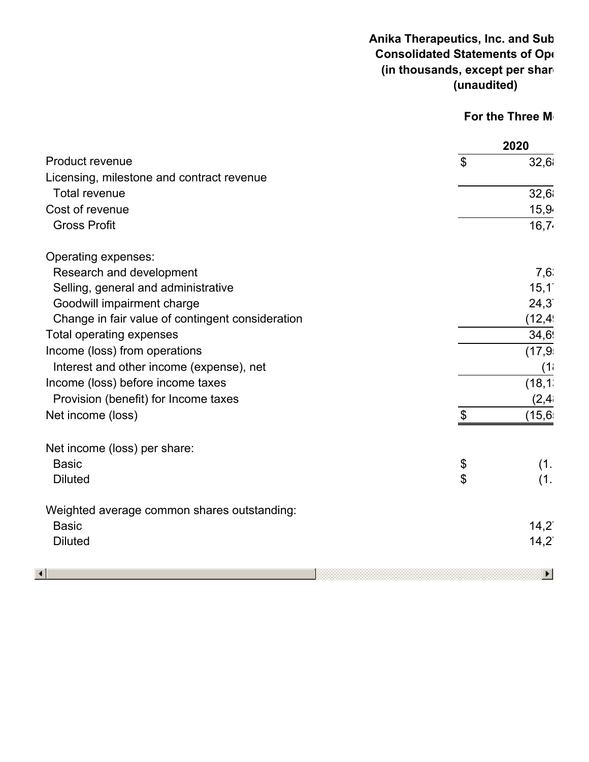# **Anika Therapeutics, Inc. and Sub Consolidated Statements of Ope (in thousands, except per share data) (unaudited)**

## **For the Three M**

|                                                  |                | 2020    |
|--------------------------------------------------|----------------|---------|
| <b>Product revenue</b>                           | $\mathfrak{S}$ | 32,61   |
| Licensing, milestone and contract revenue        |                |         |
| <b>Total revenue</b>                             |                | 32,61   |
| Cost of revenue                                  |                | 15,9    |
| <b>Gross Profit</b>                              |                | 16,7.   |
| Operating expenses:                              |                |         |
| Research and development                         |                | 7,6.    |
| Selling, general and administrative              |                | 15,1    |
| Goodwill impairment charge                       |                | 24,3    |
| Change in fair value of contingent consideration |                | (12, 4) |
| Total operating expenses                         |                | 34,6!   |
| Income (loss) from operations                    |                | (17, 9) |
| Interest and other income (expense), net         |                | 11)     |
| Income (loss) before income taxes                |                | (18,1)  |
| Provision (benefit) for Income taxes             |                | (2, 4)  |
| Net income (loss)                                | \$             | (15, 6) |
| Net income (loss) per share:                     |                |         |
| <b>Basic</b>                                     | \$             | (1.     |
| <b>Diluted</b>                                   | \$             | (1.     |
| Weighted average common shares outstanding:      |                |         |
| <b>Basic</b>                                     |                | 14,2    |
| <b>Diluted</b>                                   |                | 14,2    |
|                                                  |                | Þ.      |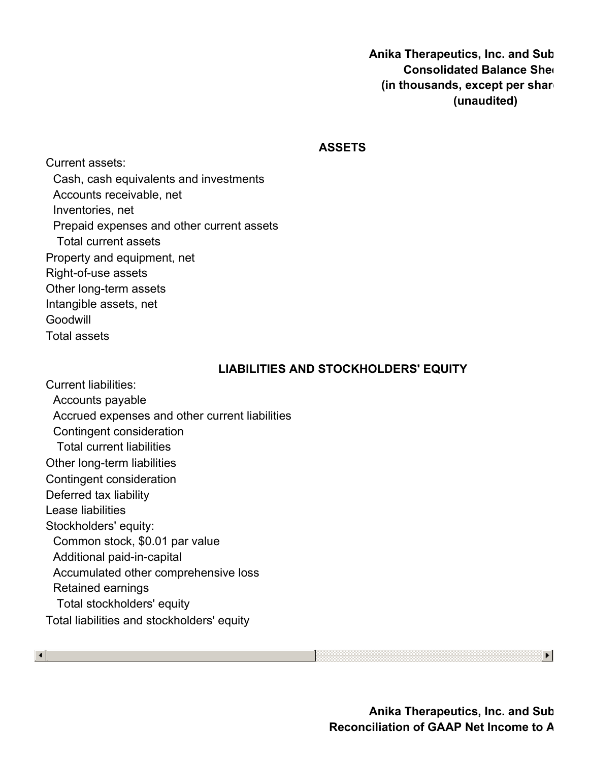**Anika Therapeutics, Inc. and Sub Consolidated Balance Sheet (in thousands, except per share (unaudited)**

#### **ASSETS**

Current assets: Cash, cash equivalents and investments Accounts receivable, net Inventories, net Prepaid expenses and other current assets Total current assets Property and equipment, net Right-of-use assets Other long-term assets Intangible assets, net **Goodwill** Total assets

#### **LIABILITIES AND STOCKHOLDERS' EQUITY**

Current liabilities: Accounts payable Accrued expenses and other current liabilities Contingent consideration Total current liabilities Other long-term liabilities Contingent consideration Deferred tax liability Lease liabilities Stockholders' equity: Common stock, \$0.01 par value Additional paid-in-capital Accumulated other comprehensive loss Retained earnings Total stockholders' equity Total liabilities and stockholders' equity

 $\blacksquare$ 

 $\blacktriangleright$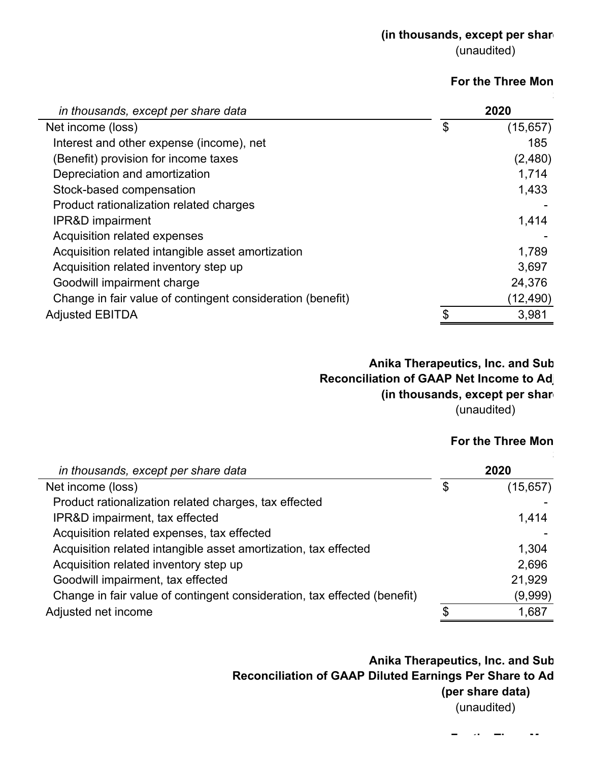# (in thousands, except per share

(unaudited)

**For the Three Mon** 

| in thousands, except per share data                        |                           | 2020      |
|------------------------------------------------------------|---------------------------|-----------|
| Net income (loss)                                          | $\boldsymbol{\mathsf{S}}$ | (15, 657) |
| Interest and other expense (income), net                   |                           | 185       |
| (Benefit) provision for income taxes                       |                           | (2,480)   |
| Depreciation and amortization                              |                           | 1,714     |
| Stock-based compensation                                   |                           | 1,433     |
| Product rationalization related charges                    |                           |           |
| <b>IPR&amp;D</b> impairment                                |                           | 1,414     |
| Acquisition related expenses                               |                           |           |
| Acquisition related intangible asset amortization          |                           | 1,789     |
| Acquisition related inventory step up                      |                           | 3,697     |
| Goodwill impairment charge                                 |                           | 24,376    |
| Change in fair value of contingent consideration (benefit) |                           | (12,490)  |
| <b>Adjusted EBITDA</b>                                     | ¢                         | 3,981     |

**Anika Therapeutics, Inc. and Sub Reconciliation of GAAP Net Income to Adj (in thousands, except per share data)** (unaudited)

## **For the Three Mon**

| in thousands, except per share data                                      | 2020            |
|--------------------------------------------------------------------------|-----------------|
| Net income (loss)                                                        | \$<br>(15, 657) |
| Product rationalization related charges, tax effected                    |                 |
| IPR&D impairment, tax effected                                           | 1,414           |
| Acquisition related expenses, tax effected                               |                 |
| Acquisition related intangible asset amortization, tax effected          | 1,304           |
| Acquisition related inventory step up                                    | 2,696           |
| Goodwill impairment, tax effected                                        | 21,929          |
| Change in fair value of contingent consideration, tax effected (benefit) | (9,999)         |
| Adjusted net income                                                      | 1,687           |

**Anika Therapeutics, Inc. and Sub Reconciliation of GAAP Diluted Earnings Per Share to Adjusted Diluted Earnings Per Share (per share data)** (unaudited)

**For the Three Months Ended December**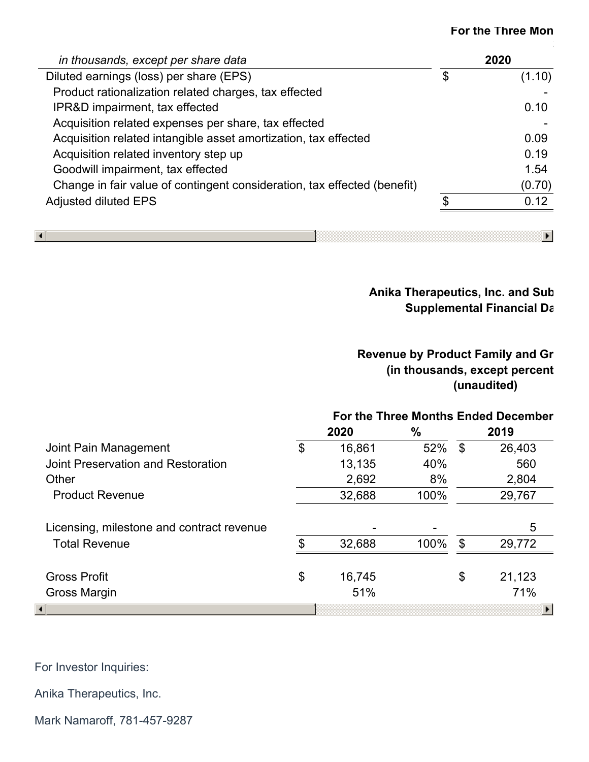#### **For the Three Mon**

 $\blacktriangleright$ 

| in thousands, except per share data                                      |     | 2020   |
|--------------------------------------------------------------------------|-----|--------|
| Diluted earnings (loss) per share (EPS)                                  | \$  | (1.10) |
| Product rationalization related charges, tax effected                    |     |        |
| IPR&D impairment, tax effected                                           |     | 0.10   |
| Acquisition related expenses per share, tax effected                     |     |        |
| Acquisition related intangible asset amortization, tax effected          |     | 0.09   |
| Acquisition related inventory step up                                    |     | 0.19   |
| Goodwill impairment, tax effected                                        |     | 1.54   |
| Change in fair value of contingent consideration, tax effected (benefit) |     | (0.70) |
| <b>Adjusted diluted EPS</b>                                              | \$. | 0.12   |

**Anika Therapeutics, Inc. and Sub Supplemental Financial Data** 

# **Revenue by Product Family and Gr** (in thousands, except percent **(unaudited)**

|                                           |    | For the Three Months Ended December |      |      |        |
|-------------------------------------------|----|-------------------------------------|------|------|--------|
|                                           |    | 2020                                | $\%$ |      | 2019   |
| Joint Pain Management                     | S  | 16,861                              | 52%  | - \$ | 26,403 |
| Joint Preservation and Restoration        |    | 13,135                              | 40%  |      | 560    |
| Other                                     |    | 2,692                               | 8%   |      | 2,804  |
| <b>Product Revenue</b>                    |    | 32,688                              | 100% |      | 29,767 |
| Licensing, milestone and contract revenue |    |                                     |      |      | 5      |
| <b>Total Revenue</b>                      |    | 32,688                              | 100% | \$   | 29,772 |
| <b>Gross Profit</b>                       | \$ | 16,745                              |      | \$   | 21,123 |
| Gross Margin                              |    | 51%                                 |      |      | 71%    |
| $\vert \cdot \vert$                       |    |                                     |      |      |        |

For Investor Inquiries:

 $\vert \cdot \vert$ 

Anika Therapeutics, Inc.

Mark Namaroff, 781-457-9287